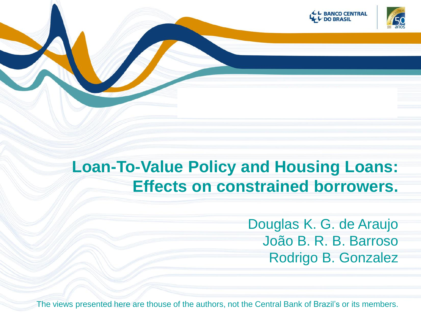



## **Loan-To-Value Policy and Housing Loans: Effects on constrained borrowers.**

Douglas K. G. de Araujo João B. R. B. Barroso Rodrigo B. Gonzalez

The views presented here are thouse of the authors, not the Central Bank of Brazil's or its members.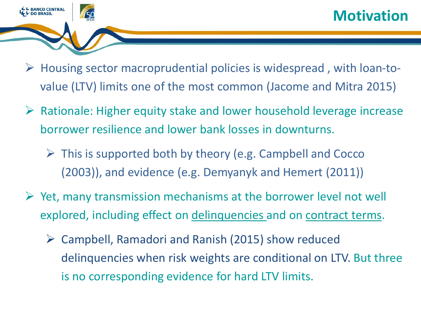

- $\triangleright$  Housing sector macroprudential policies is widespread, with loan-tovalue (LTV) limits one of the most common (Jacome and Mitra 2015)
- $\triangleright$  Rationale: Higher equity stake and lower household leverage increase borrower resilience and lower bank losses in downturns.
	- $\triangleright$  This is supported both by theory (e.g. Campbell and Cocco (2003)), and evidence (e.g. Demyanyk and Hemert (2011))
- $\triangleright$  Yet, many transmission mechanisms at the borrower level not well explored, including effect on delinquencies and on contract terms.
	- Campbell, Ramadori and Ranish (2015) show reduced delinquencies when risk weights are conditional on LTV. But three is no corresponding evidence for hard LTV limits.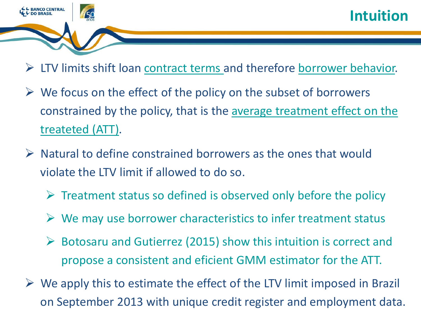

- $\triangleright$  LTV limits shift loan contract terms and therefore borrower behavior.
- $\triangleright$  We focus on the effect of the policy on the subset of borrowers constrained by the policy, that is the average treatment effect on the treateted (ATT).
- $\triangleright$  Natural to define constrained borrowers as the ones that would violate the LTV limit if allowed to do so.
	- $\triangleright$  Treatment status so defined is observed only before the policy
	- $\triangleright$  We may use borrower characteristics to infer treatment status
	- $\triangleright$  Botosaru and Gutierrez (2015) show this intuition is correct and propose a consistent and eficient GMM estimator for the ATT.
- $\triangleright$  We apply this to estimate the effect of the LTV limit imposed in Brazil on September 2013 with unique credit register and employment data.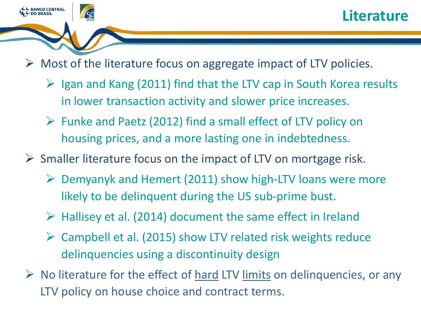

 $\triangleright$  Most of the literature focus on aggregate impact of LTV policies.

- $\triangleright$  Igan and Kang (2011) find that the LTV cap in South Korea results in lower transaction activity and slower price increases.
- $\triangleright$  Funke and Paetz (2012) find a small effect of LTV policy on housing prices, and a more lasting one in indebtedness.
- $\triangleright$  Smaller literature focus on the impact of LTV on mortgage risk.
	- $\triangleright$  Demyanyk and Hemert (2011) show high-LTV loans were more likely to be delinquent during the US sub-prime bust.
	- $\triangleright$  Hallisey et al. (2014) document the same effect in Ireland
	- Campbell et al. (2015) show LTV related risk weights reduce delinquencies using a discontinuity design
- $\triangleright$  No literature for the effect of hard LTV limits on delinquencies, or any LTV policy on house choice and contract terms.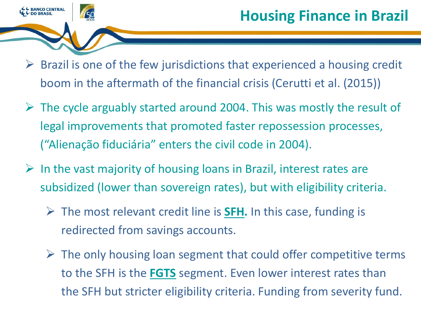

- $\triangleright$  Brazil is one of the few jurisdictions that experienced a housing credit boom in the aftermath of the financial crisis (Cerutti et al. (2015))
- $\triangleright$  The cycle arguably started around 2004. This was mostly the result of legal improvements that promoted faster repossession processes, ("Alienação fiduciária" enters the civil code in 2004).
- $\triangleright$  In the vast majority of housing loans in Brazil, interest rates are subsidized (lower than sovereign rates), but with eligibility criteria.
	- The most relevant credit line is **SFH.** In this case, funding is redirected from savings accounts.
	- $\triangleright$  The only housing loan segment that could offer competitive terms to the SFH is the **FGTS** segment. Even lower interest rates than the SFH but stricter eligibility criteria. Funding from severity fund.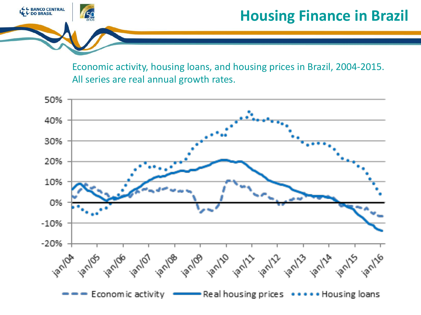

### **Housing Finance in Brazil**

Economic activity, housing loans, and housing prices in Brazil, 2004-2015. All series are real annual growth rates.

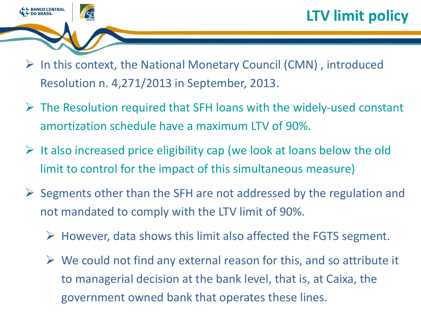

- $\triangleright$  In this context, the National Monetary Council (CMN), introduced Resolution n. 4,271/2013 in September, 2013.
- $\triangleright$  The Resolution required that SFH loans with the widely-used constant amortization schedule have a maximum LTV of 90%.
- $\triangleright$  It also increased price eligibility cap (we look at loans below the old limit to control for the impact of this simultaneous measure)
- $\triangleright$  Segments other than the SFH are not addressed by the regulation and not mandated to comply with the LTV limit of 90%.
	- $\triangleright$  However, data shows this limit also affected the FGTS segment.
	- $\triangleright$  We could not find any external reason for this, and so attribute it to managerial decision at the bank level, that is, at Caixa, the government owned bank that operates these lines.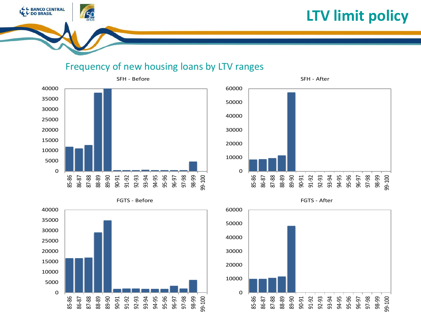

#### Frequency of new housing loans by LTV ranges



L BANCO CENTRAL<br>L DO BRASIL





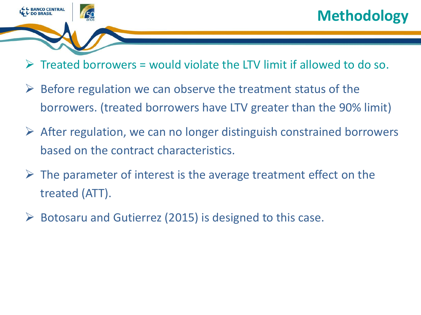

## **Methodology**

- $\triangleright$  Treated borrowers = would violate the LTV limit if allowed to do so.
- $\triangleright$  Before regulation we can observe the treatment status of the borrowers. (treated borrowers have LTV greater than the 90% limit)
- $\triangleright$  After regulation, we can no longer distinguish constrained borrowers based on the contract characteristics.
- $\triangleright$  The parameter of interest is the average treatment effect on the treated (ATT).
- Botosaru and Gutierrez (2015) is designed to this case.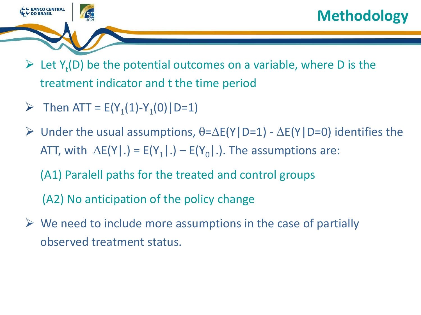

- $\triangleright$  Let Y<sub>t</sub>(D) be the potential outcomes on a variable, where D is the treatment indicator and t the time period
- Fhen ATT =  $E(Y_1(1)-Y_1(0) | D=1)$
- $\triangleright$  Under the usual assumptions,  $\theta = \Delta E(Y|D=1) \Delta E(Y|D=0)$  identifies the ATT, with  $\Delta E(Y|.) = E(Y_1|.) - E(Y_0|.)$ . The assumptions are:
	- (A1) Paralell paths for the treated and control groups
	- (A2) No anticipation of the policy change
- $\triangleright$  We need to include more assumptions in the case of partially observed treatment status.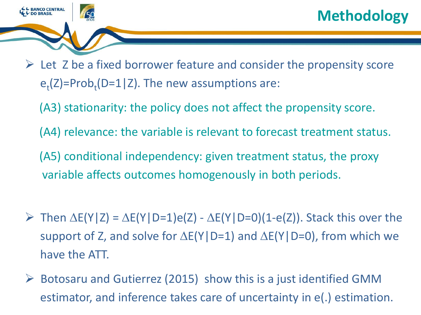

- $\triangleright$  Let Z be a fixed borrower feature and consider the propensity score  $e_t(Z)$ =Prob<sub>t</sub>(D=1|Z). The new assumptions are:
	- (A3) stationarity: the policy does not affect the propensity score.
	- (A4) relevance: the variable is relevant to forecast treatment status.
	- (A5) conditional independency: given treatment status, the proxy variable affects outcomes homogenously in both periods.
- $\triangleright$  Then  $\Delta E(Y|Z) = \Delta E(Y|D=1)e(Z) \Delta E(Y|D=0)(1-e(Z))$ . Stack this over the support of Z, and solve for  $\Delta E(Y|D=1)$  and  $\Delta E(Y|D=0)$ , from which we have the ATT.
- $\triangleright$  Botosaru and Gutierrez (2015) show this is a just identified GMM estimator, and inference takes care of uncertainty in e(.) estimation.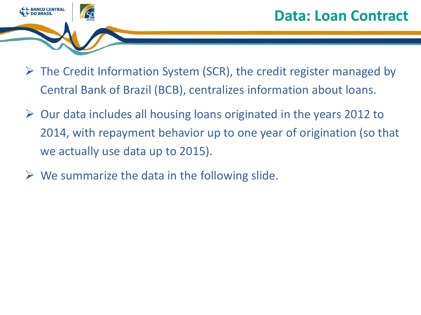

- $\triangleright$  The Credit Information System (SCR), the credit register managed by Central Bank of Brazil (BCB), centralizes information about loans.
- $\triangleright$  Our data includes all housing loans originated in the years 2012 to 2014, with repayment behavior up to one year of origination (so that we actually use data up to 2015).
- $\triangleright$  We summarize the data in the following slide.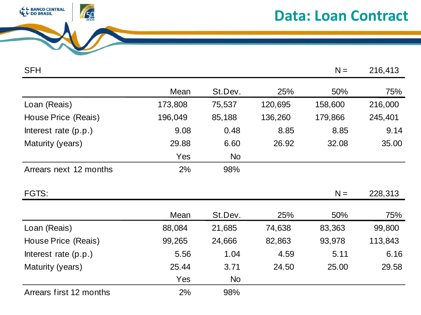

### **Data: Loan Contract**

| <b>SFH</b>              |         |           |         | $N =$   | 216,413 |
|-------------------------|---------|-----------|---------|---------|---------|
|                         | Mean    | St.Dev.   | 25%     | 50%     | 75%     |
| Loan (Reais)            | 173,808 | 75,537    | 120,695 | 158,600 | 216,000 |
| House Price (Reais)     | 196,049 | 85,188    | 136,260 | 179,866 | 245,401 |
| Interest rate $(p.p.)$  | 9.08    | 0.48      | 8.85    | 8.85    | 9.14    |
| Maturity (years)        | 29.88   | 6.60      | 26.92   | 32.08   | 35.00   |
|                         | Yes     | <b>No</b> |         |         |         |
| Arrears next 12 months  | 2%      | 98%       |         |         |         |
| FGTS:                   |         |           |         | $N =$   | 228,313 |
|                         | Mean    | St.Dev.   | 25%     | 50%     | 75%     |
| Loan (Reais)            | 88,084  | 21,685    | 74,638  | 83,363  | 99,800  |
| House Price (Reais)     | 99,265  | 24,666    | 82,863  | 93,978  | 113,843 |
| Interest rate $(p.p.)$  | 5.56    | 1.04      | 4.59    | 5.11    | 6.16    |
| Maturity (years)        | 25.44   | 3.71      | 24.50   | 25.00   | 29.58   |
|                         | Yes     | <b>No</b> |         |         |         |
| Arrears first 12 months | 2%      | 98%       |         |         |         |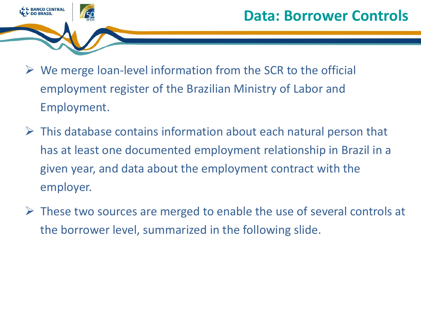

- $\triangleright$  We merge loan-level information from the SCR to the official employment register of the Brazilian Ministry of Labor and Employment.
- $\triangleright$  This database contains information about each natural person that has at least one documented employment relationship in Brazil in a given year, and data about the employment contract with the employer.
- $\triangleright$  These two sources are merged to enable the use of several controls at the borrower level, summarized in the following slide.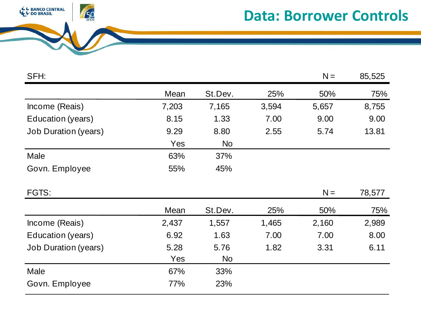

#### **Data: Borrower Controls**

| SFH:                        |       |           |       | $N =$ | 85,525 |
|-----------------------------|-------|-----------|-------|-------|--------|
|                             | Mean  | St.Dev.   | 25%   | 50%   | 75%    |
| Income (Reais)              | 7,203 | 7,165     | 3,594 | 5,657 | 8,755  |
| Education (years)           | 8.15  | 1.33      | 7.00  | 9.00  | 9.00   |
| <b>Job Duration (years)</b> | 9.29  | 8.80      | 2.55  | 5.74  | 13.81  |
|                             | Yes   | <b>No</b> |       |       |        |
| Male                        | 63%   | 37%       |       |       |        |
| Govn. Employee              | 55%   | 45%       |       |       |        |
|                             |       |           |       |       |        |
| FGTS:                       |       |           |       | $N =$ | 78,577 |
|                             | Mean  | St.Dev.   | 25%   | 50%   | 75%    |
| Income (Reais)              | 2,437 | 1,557     | 1,465 | 2,160 | 2,989  |
| Education (years)           | 6.92  | 1.63      | 7.00  | 7.00  | 8.00   |
| <b>Job Duration (years)</b> | 5.28  | 5.76      | 1.82  | 3.31  | 6.11   |
|                             | Yes   | <b>No</b> |       |       |        |
| Male                        | 67%   | 33%       |       |       |        |
|                             |       |           |       |       |        |
|                             |       |           |       |       |        |
|                             |       |           |       |       |        |
|                             |       |           |       |       |        |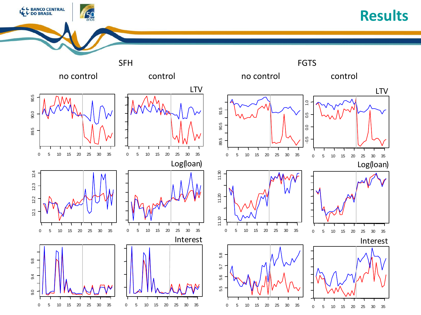#### **Results**



L BANCO CENTRAL<br>L DO BRASIL

 $\frac{50}{2005}$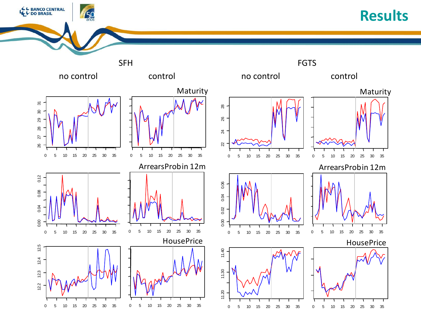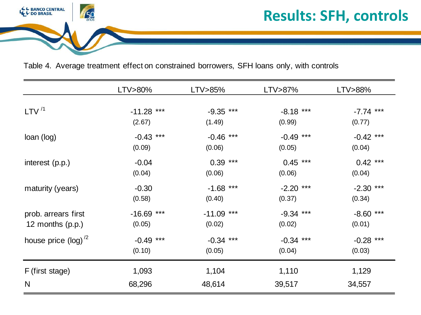

Table 4. Average treatment effect on constrained borrowers, SFH loans only, with controls

|                         | LTV>80%      | LTV>85%      | LTV>87%     | LTV>88%     |
|-------------------------|--------------|--------------|-------------|-------------|
|                         |              |              |             |             |
| LTV $^{/1}$             | $-11.28$ *** | $-9.35$ ***  | $-8.18$ *** | $-7.74$ *** |
|                         | (2.67)       | (1.49)       | (0.99)      | (0.77)      |
| loan (log)              | $-0.43$ ***  | $-0.46$ ***  | $-0.49$ *** | $-0.42$ *** |
|                         | (0.09)       | (0.06)       | (0.05)      | (0.04)      |
| interest (p.p.)         | $-0.04$      | $0.39***$    | $0.45$ ***  | $0.42$ ***  |
|                         | (0.04)       | (0.06)       | (0.06)      | (0.04)      |
| maturity (years)        | $-0.30$      | $-1.68$ ***  | $-2.20$ *** | $-2.30$ *** |
|                         | (0.58)       | (0.40)       | (0.37)      | (0.34)      |
| prob. arrears first     | $-16.69$ *** | $-11.09$ *** | $-9.34$ *** | $-8.60$ *** |
| 12 months $(p.p.)$      | (0.05)       | (0.02)       | (0.02)      | (0.01)      |
| house price $(log)^{2}$ | $-0.49$ ***  | $-0.34$ ***  | $-0.34$ *** | $-0.28$ *** |
|                         | (0.10)       | (0.05)       | (0.04)      | (0.03)      |
| F (first stage)         | 1,093        | 1,104        | 1,110       | 1,129       |
| N                       | 68,296       | 48,614       | 39,517      | 34,557      |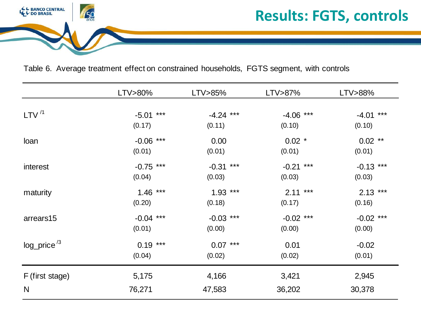

Table 6. Average treatment effect on constrained households, FGTS segment, with controls

|                            | LTV>80%     | LTV>85%     | LTV>87%     | LTV>88%     |
|----------------------------|-------------|-------------|-------------|-------------|
| LTV <sup>/1</sup>          | $-5.01$ *** | $-4.24$ *** | $-4.06$ *** | $-4.01$ *** |
|                            | (0.17)      | (0.11)      | (0.10)      | (0.10)      |
| loan                       | $-0.06$ *** | 0.00        | $0.02$ *    | $0.02$ **   |
|                            | (0.01)      | (0.01)      | (0.01)      | (0.01)      |
| interest                   | $-0.75$ *** | $-0.31$ *** | $-0.21$ *** | $-0.13$ *** |
|                            | (0.04)      | (0.03)      | (0.03)      | (0.03)      |
| maturity                   | $1.46$ ***  | $1.93***$   | $2.11***$   | $2.13***$   |
|                            | (0.20)      | (0.18)      | (0.17)      | (0.16)      |
| arrears15                  | $-0.04$ *** | $-0.03$ *** | $-0.02$ *** | $-0.02$ *** |
|                            | (0.01)      | (0.00)      | (0.00)      | (0.00)      |
| $log\_price$ <sup>/3</sup> | $0.19***$   | $0.07***$   | 0.01        | $-0.02$     |
|                            | (0.04)      | (0.02)      | (0.02)      | (0.01)      |
| F (first stage)            | 5,175       | 4,166       | 3,421       | 2,945       |
| N                          | 76,271      | 47,583      | 36,202      | 30,378      |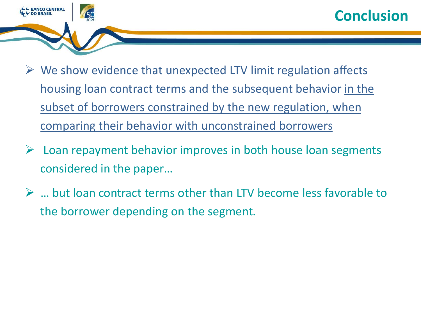



- $\triangleright$  We show evidence that unexpected LTV limit regulation affects housing loan contract terms and the subsequent behavior in the subset of borrowers constrained by the new regulation, when comparing their behavior with unconstrained borrowers
- $\triangleright$  Loan repayment behavior improves in both house loan segments considered in the paper…
- … but loan contract terms other than LTV become less favorable to the borrower depending on the segment.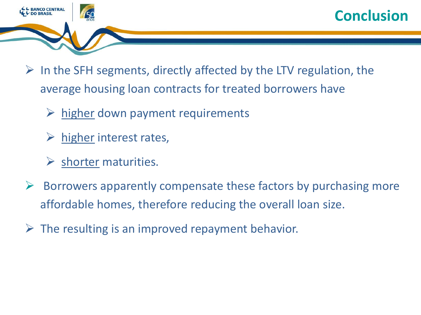



- $\triangleright$  In the SFH segments, directly affected by the LTV regulation, the average housing loan contracts for treated borrowers have
	- $\triangleright$  higher down payment requirements
	- higher interest rates,
	- shorter maturities.
- $\triangleright$  Borrowers apparently compensate these factors by purchasing more affordable homes, therefore reducing the overall loan size.
- $\triangleright$  The resulting is an improved repayment behavior.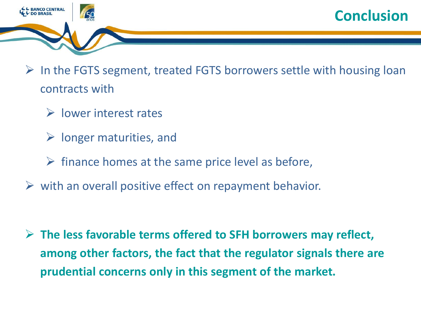



- $\triangleright$  In the FGTS segment, treated FGTS borrowers settle with housing loan contracts with
	- $\triangleright$  lower interest rates
	- $\triangleright$  longer maturities, and
	- $\triangleright$  finance homes at the same price level as before,
- $\triangleright$  with an overall positive effect on repayment behavior.

 **The less favorable terms offered to SFH borrowers may reflect, among other factors, the fact that the regulator signals there are prudential concerns only in this segment of the market.**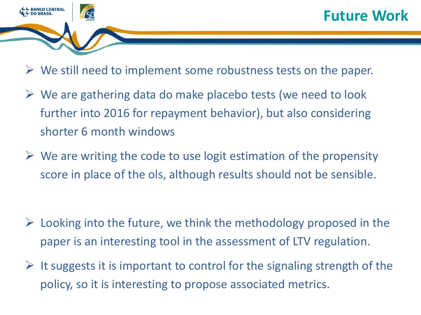

- $\triangleright$  We still need to implement some robustness tests on the paper.
- $\triangleright$  We are gathering data do make placebo tests (we need to look further into 2016 for repayment behavior), but also considering shorter 6 month windows
- $\triangleright$  We are writing the code to use logit estimation of the propensity score in place of the ols, although results should not be sensible.

- $\triangleright$  Looking into the future, we think the methodology proposed in the paper is an interesting tool in the assessment of LTV regulation.
- $\triangleright$  It suggests it is important to control for the signaling strength of the policy, so it is interesting to propose associated metrics.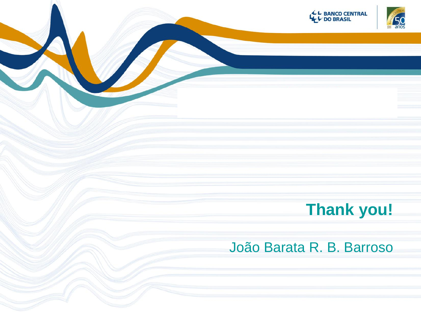

# **Thank you!**

#### João Barata R. B. Barroso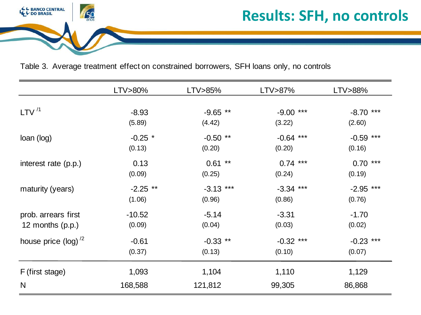

#### **Results: SFH, no controls**

Table 3. Average treatment effect on constrained borrowers, SFH loans only, no controls

| LTV>80%        | LTV>85%             | LTV>87%              | LTV>88%               |
|----------------|---------------------|----------------------|-----------------------|
| $-8.93$        | $-9.65$ **          | $-9.00$ ***          | $-8.70$ ***           |
| (5.89)         | (4.42)              | (3.22)               | (2.60)                |
| $-0.25$ *      | $-0.50$ **          | $-0.64$ ***          | $-0.59$ ***           |
| (0.13)         | (0.20)              | (0.20)               | (0.16)                |
| 0.13<br>(0.09) | $0.61$ **<br>(0.25) | $0.74$ ***<br>(0.24) | ***<br>0.70<br>(0.19) |
| $-2.25$ **     | $-3.13$ ***         | $-3.34$ ***          | $-2.95$ ***           |
| (1.06)         | (0.96)              | (0.86)               | (0.76)                |
| $-10.52$       | $-5.14$             | $-3.31$              | $-1.70$               |
| (0.09)         | (0.04)              | (0.03)               | (0.02)                |
| $-0.61$        | $-0.33$ **          | $-0.32$ ***          | $-0.23$ ***           |
| (0.37)         | (0.13)              | (0.10)               | (0.07)                |
| 1,093          | 1,104               | 1,110                | 1,129<br>86,868       |
|                | 168,588             | 121,812              | 99,305                |